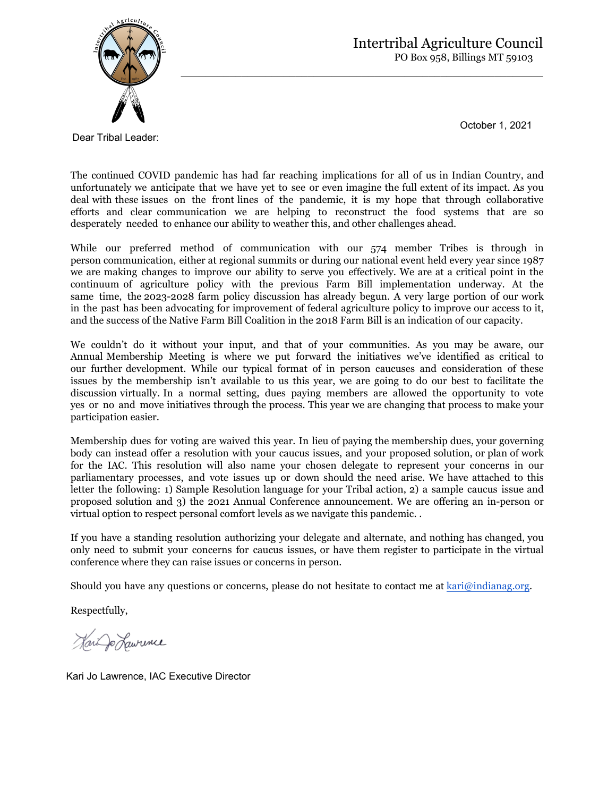

October 1, 2021

Dear Tribal Leader:

The continued COVID pandemic has had far reaching implications for all of us in Indian Country, and unfortunately we anticipate that we have yet to see or even imagine the full extent of its impact. As you deal with these issues on the front lines of the pandemic, it is my hope that through collaborative efforts and clear communication we are helping to reconstruct the food systems that are so desperately needed to enhance our ability to weather this, and other challenges ahead.

 $\mathcal{L}_\text{max}$  , and the contribution of the contribution of the contribution of the contribution of the contribution of the contribution of the contribution of the contribution of the contribution of the contribution of t

While our preferred method of communication with our 574 member Tribes is through in person communication, either at regional summits or during our national event held every year since 1987 we are making changes to improve our ability to serve you effectively. We are at a critical point in the continuum of agriculture policy with the previous Farm Bill implementation underway. At the same time, the 2023-2028 farm policy discussion has already begun. A very large portion of our work in the past has been advocating for improvement of federal agriculture policy to improve our access to it, and the success of the Native Farm Bill Coalition in the 2018 Farm Bill is an indication of our capacity.

We couldn't do it without your input, and that of your communities. As you may be aware, our Annual Membership Meeting is where we put forward the initiatives we've identified as critical to our further development. While our typical format of in person caucuses and consideration of these issues by the membership isn't available to us this year, we are going to do our best to facilitate the discussion virtually. In a normal setting, dues paying members are allowed the opportunity to vote yes or no and move initiatives through the process. This year we are changing that process to make your participation easier.

Membership dues for voting are waived this year. In lieu of paying the membership dues, your governing body can instead offer a resolution with your caucus issues, and your proposed solution, or plan of work for the IAC. This resolution will also name your chosen delegate to represent your concerns in our parliamentary processes, and vote issues up or down should the need arise. We have attached to this letter the following: 1) Sample Resolution language for your Tribal action, 2) a sample caucus issue and proposed solution and 3) the 2021 Annual Conference announcement. We are offering an in-person or virtual option to respect personal comfort levels as we navigate this pandemic. .

If you have a standing resolution authorizing your delegate and alternate, and nothing has changed, you only need to submit your concerns for caucus issues, or have them register to participate in the virtual conference where they can raise issues or concerns in person.

Should you have any questions or concerns, please do not hesitate to contact me at [kari@indianag.org.](mailto:zach@indianag.org)

Respectfully,

Har Jo Hawrence

Kari Jo Lawrence, IAC Executive Director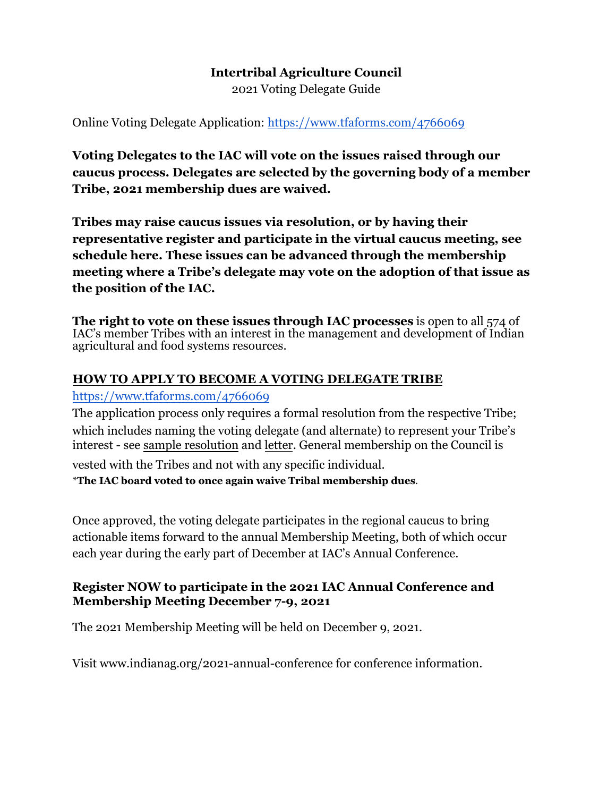#### **Intertribal Agriculture Council**  2021 Voting Delegate Guide

Online Voting Delegate Application:<https://www.tfaforms.com/4766069>

**Voting Delegates to the IAC will vote on the issues raised through our caucus process. Delegates are selected by the governing body of a member Tribe, 2021 membership dues are waived.** 

**Tribes may raise caucus issues via resolution, or by having their representative register and participate in the virtual caucus meeting, see schedule here. These issues can be advanced through the membership meeting where a Tribe's delegate may vote on the adoption of that issue as the position of the IAC.** 

**The right to vote on these issues through IAC processes** is open to all 574 of IAC's member Tribes with an interest in the management and development of Indian agricultural and food systems resources.

#### **HOW TO APPLY TO BECOME A VOTING DELEGATE TRIBE**

#### <https://www.tfaforms.com/4766069>

The application process only requires a formal resolution from the respective Tribe; which includes naming the voting delegate (and alternate) to represent your Tribe's interest - see sample resolution and letter. General membership on the Council is

vested with the Tribes and not with any specific individual. \***The IAC board voted to once again waive Tribal membership dues**.

Once approved, the voting delegate participates in the regional caucus to bring actionable items forward to the annual Membership Meeting, both of which occur each year during the early part of December at IAC's Annual Conference.

#### **Register NOW to participate in the 2021 IAC Annual Conference and Membership Meeting December 7-9, 2021**

The 2021 Membership Meeting will be held on December 9, 2021.

Visit [www.indianag.org/2021-annual-conference](https://www.indianag.org/2021-annual-conference) for conference information.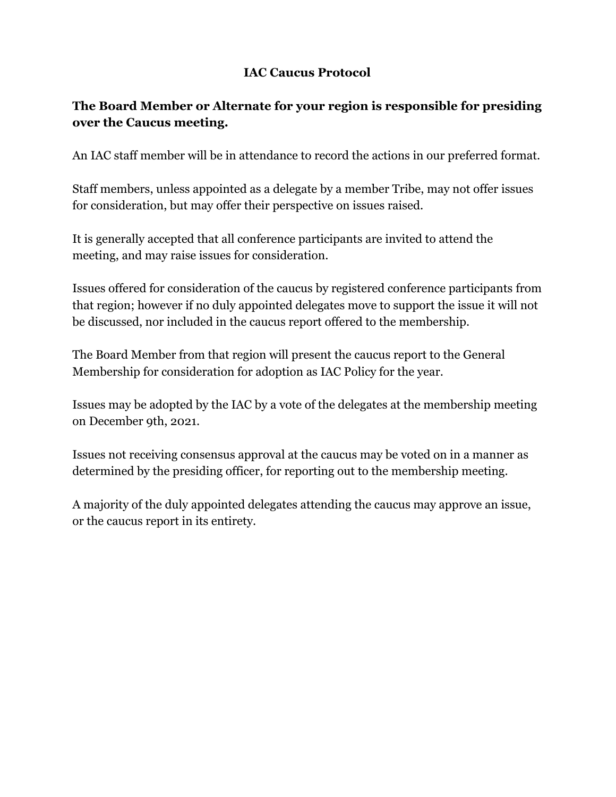# **IAC Caucus Protocol**

# **The Board Member or Alternate for your region is responsible for presiding over the Caucus meeting.**

An IAC staff member will be in attendance to record the actions in our preferred format.

Staff members, unless appointed as a delegate by a member Tribe, may not offer issues for consideration, but may offer their perspective on issues raised.

It is generally accepted that all conference participants are invited to attend the meeting, and may raise issues for consideration.

Issues offered for consideration of the caucus by registered conference participants from that region; however if no duly appointed delegates move to support the issue it will not be discussed, nor included in the caucus report offered to the membership.

The Board Member from that region will present the caucus report to the General Membership for consideration for adoption as IAC Policy for the year.

Issues may be adopted by the IAC by a vote of the delegates at the membership meeting on December 9th, 2021.

Issues not receiving consensus approval at the caucus may be voted on in a manner as determined by the presiding officer, for reporting out to the membership meeting.

A majority of the duly appointed delegates attending the caucus may approve an issue, or the caucus report in its entirety.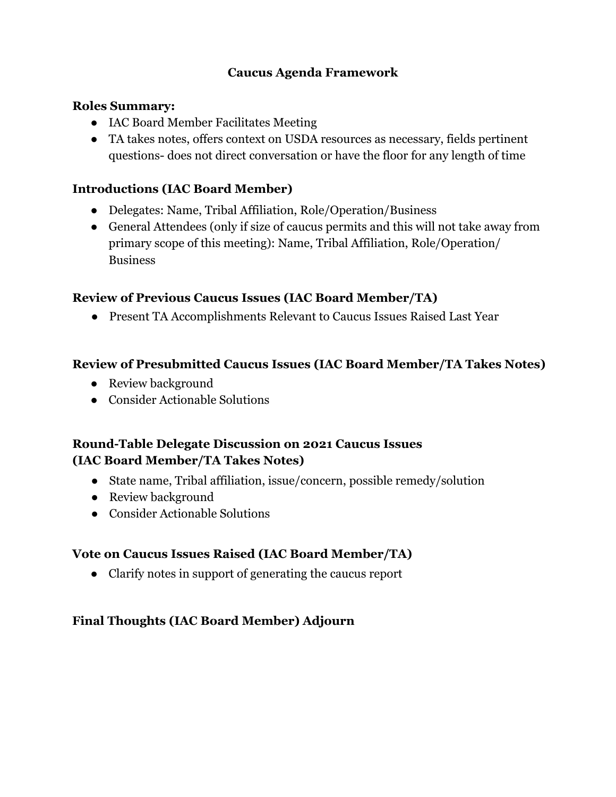### **Caucus Agenda Framework**

#### **Roles Summary:**

- IAC Board Member Facilitates Meeting
- TA takes notes, offers context on USDA resources as necessary, fields pertinent questions- does not direct conversation or have the floor for any length of time

### **Introductions (IAC Board Member)**

- Delegates: Name, Tribal Affiliation, Role/Operation/Business
- General Attendees (only if size of caucus permits and this will not take away from primary scope of this meeting): Name, Tribal Affiliation, Role/Operation/ **Business**

### **Review of Previous Caucus Issues (IAC Board Member/TA)**

● Present TA Accomplishments Relevant to Caucus Issues Raised Last Year

#### **Review of Presubmitted Caucus Issues (IAC Board Member/TA Takes Notes)**

- Review background
- Consider Actionable Solutions

### **Round-Table Delegate Discussion on 2021 Caucus Issues (IAC Board Member/TA Takes Notes)**

- State name, Tribal affiliation, issue/concern, possible remedy/solution
- Review background
- Consider Actionable Solutions

#### **Vote on Caucus Issues Raised (IAC Board Member/TA)**

● Clarify notes in support of generating the caucus report

## **Final Thoughts (IAC Board Member) Adjourn**